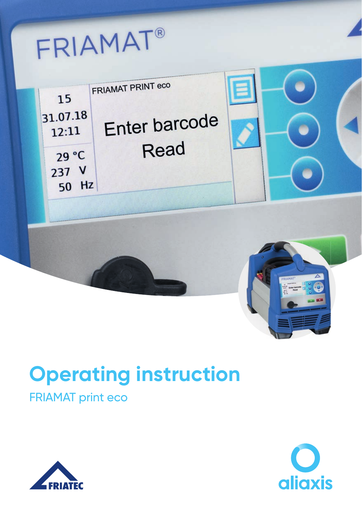FRIAMAT®



# **Operating instruction**

# FRIAMAT print eco



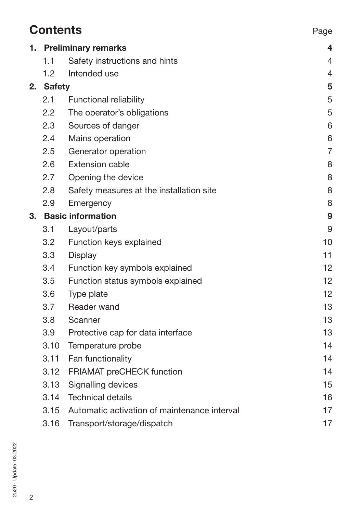| <b>Contents</b> |                          |                                              | Page           |
|-----------------|--------------------------|----------------------------------------------|----------------|
| 1.              |                          | <b>Preliminary remarks</b>                   |                |
|                 | 1.1                      | Safety instructions and hints                | 4              |
|                 | 1.2                      | Intended use                                 | $\overline{4}$ |
| 2.              | <b>Safety</b>            |                                              | 5              |
|                 | 2.1                      | Functional reliability                       | 5              |
|                 | 2.2                      | The operator's obligations                   | 5              |
|                 | 2.3                      | Sources of danger                            | 6              |
|                 | 2.4                      | Mains operation                              | 6              |
|                 | 2.5                      | Generator operation                          | $\overline{7}$ |
|                 | 2.6                      | Extension cable                              | 8              |
|                 | 2.7                      | Opening the device                           | 8              |
|                 | 2.8                      | Safety measures at the installation site     | 8              |
|                 | 2.9                      | Emergency                                    | 8              |
| З.              | <b>Basic information</b> |                                              | 9              |
|                 | 3.1                      | Layout/parts                                 | 9              |
|                 | 3.2                      | Function keys explained                      | 10             |
|                 | 3.3                      | Display                                      | 11             |
|                 | 3.4                      | Function key symbols explained               | 12             |
|                 | 3.5                      | Function status symbols explained            | 12             |
|                 | 3.6                      | Type plate                                   | 12             |
|                 | 3.7                      | Reader wand                                  | 13             |
|                 | 3.8                      | Scanner                                      | 13             |
|                 | 3.9                      | Protective cap for data interface            | 13             |
|                 | 3.10                     | Temperature probe                            | 14             |
|                 | 3.11                     | Fan functionality                            | 14             |
|                 | 3.12                     | FRIAMAT preCHECK function                    | 14             |
|                 | 3.13                     | Signalling devices                           | 15             |
|                 | 3.14                     | <b>Technical details</b>                     | 16             |
|                 | 3.15                     | Automatic activation of maintenance interval | 17             |
|                 | 3.16                     | Transport/storage/dispatch                   | 17             |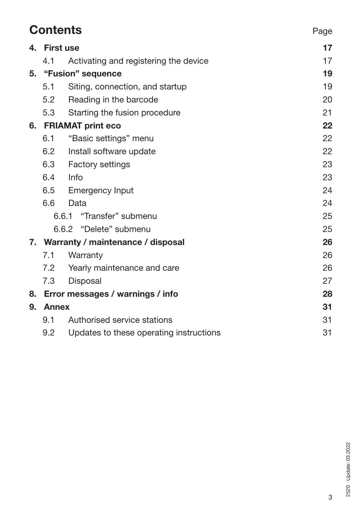|    | <b>Contents</b>                      |                                         |    |
|----|--------------------------------------|-----------------------------------------|----|
| 4. | <b>First use</b>                     | 17                                      |    |
|    | 4.1                                  | Activating and registering the device   | 17 |
|    | 5. "Fusion" sequence                 |                                         | 19 |
|    | 5.1                                  | Siting, connection, and startup         | 19 |
|    | 5.2                                  | Reading in the barcode                  | 20 |
|    | 5.3                                  | Starting the fusion procedure           | 21 |
|    |                                      | 6. FRIAMAT print eco                    |    |
|    | 6.1                                  | "Basic settings" menu                   | 22 |
|    | 6.2                                  | Install software update                 | 22 |
|    | 6.3                                  | <b>Factory settings</b>                 | 23 |
|    | 6.4                                  | Info                                    | 23 |
|    |                                      | 6.5 Emergency Input                     | 24 |
|    | 6.6                                  | Data                                    | 24 |
|    |                                      | 6.6.1<br>"Transfer" submenu             | 25 |
|    |                                      | 6.6.2 "Delete" submenu                  | 25 |
|    | 7. Warranty / maintenance / disposal |                                         | 26 |
|    | 7.1                                  | Warranty                                | 26 |
|    |                                      | 7.2 Yearly maintenance and care         | 26 |
|    | 7.3                                  | Disposal                                | 27 |
|    |                                      | 8. Error messages / warnings / info     | 28 |
| 9. | Annex                                |                                         | 31 |
|    | 9.1                                  | Authorised service stations             | 31 |
|    | 9.2                                  | Updates to these operating instructions | 31 |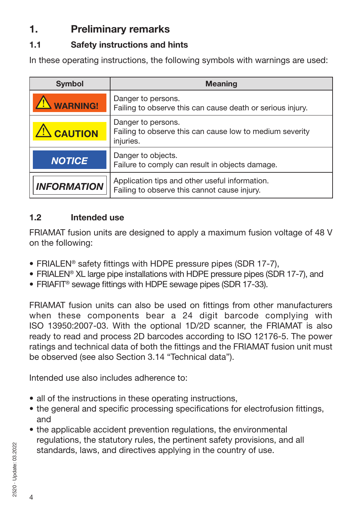# **1. Preliminary remarks**

### **1.1 Safety instructions and hints**

In these operating instructions, the following symbols with warnings are used:

| <b>Symbol</b>      | <b>Meaning</b>                                                                                 |
|--------------------|------------------------------------------------------------------------------------------------|
| <b>WARNING!</b>    | Danger to persons.<br>Failing to observe this can cause death or serious injury.               |
| <b>CAUTION</b>     | Danger to persons.<br>Failing to observe this can cause low to medium severity<br>injuries.    |
| <b>NOTICE</b>      | Danger to objects.<br>Failure to comply can result in objects damage.                          |
| <b>INFORMATION</b> | Application tips and other useful information.<br>Failing to observe this cannot cause injury. |

### **1.2 Intended use**

FRIAMAT fusion units are designed to apply a maximum fusion voltage of 48 V on the following:

- FRIALEN® safety fittings with HDPE pressure pipes (SDR 17-7),
- FRIALEN® XL large pipe installations with HDPE pressure pipes (SDR 17-7), and
- FRIAFIT® sewage fittings with HDPE sewage pipes (SDR 17-33).

FRIAMAT fusion units can also be used on fittings from other manufacturers when these components bear a 24 digit barcode complying with ISO 13950:2007-03. With the optional 1D/2D scanner, the FRIAMAT is also ready to read and process 2D barcodes according to ISO 12176-5. The power ratings and technical data of both the fittings and the FRIAMAT fusion unit must be observed (see also Section 3.14 "Technical data").

Intended use also includes adherence to:

- all of the instructions in these operating instructions,
- the general and specific processing specifications for electrofusion fittings, and
- the applicable accident prevention regulations, the environmental regulations, the statutory rules, the pertinent safety provisions, and all standards, laws, and directives applying in the country of use.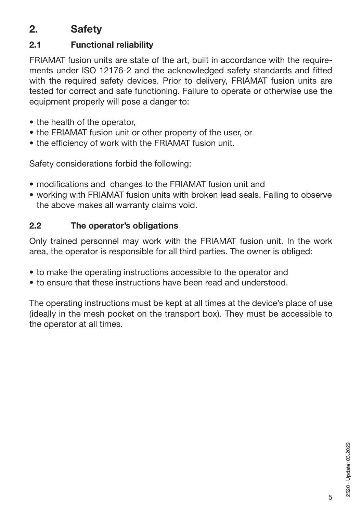# **2. Safety**

### **2.1 Functional reliability**

FRIAMAT fusion units are state of the art, built in accordance with the requirements under ISO 12176-2 and the acknowledged safety standards and fitted with the required safety devices. Prior to delivery, FRIAMAT fusion units are tested for correct and safe functioning. Failure to operate or otherwise use the equipment properly will pose a danger to:

- the health of the operator,
- the FRIAMAT fusion unit or other property of the user, or
- the efficiency of work with the FRIAMAT fusion unit.

Safety considerations forbid the following:

- modifications and changes to the FRIAMAT fusion unit and
- working with FRIAMAT fusion units with broken lead seals. Failing to observe the above makes all warranty claims void.

### **2.2 The operator's obligations**

Only trained personnel may work with the FRIAMAT fusion unit. In the work area, the operator is responsible for all third parties. The owner is obliged:

- to make the operating instructions accessible to the operator and
- to ensure that these instructions have been read and understood.

The operating instructions must be kept at all times at the device's place of use (ideally in the mesh pocket on the transport box). They must be accessible to the operator at all times.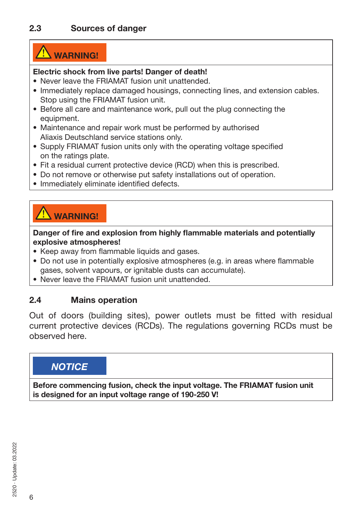# **WARNING!**

#### **Electric shock from live parts! Danger of death!**

- Never leave the FRIAMAT fusion unit unattended.
- Immediately replace damaged housings, connecting lines, and extension cables. Stop using the FRIAMAT fusion unit.
- Before all care and maintenance work, pull out the plug connecting the equipment.
- Maintenance and repair work must be performed by authorised Aliaxis Deutschland service stations only.
- Supply FRIAMAT fusion units only with the operating voltage specified on the ratings plate.
- Fit a residual current protective device (RCD) when this is prescribed.
- Do not remove or otherwise put safety installations out of operation.
- Immediately eliminate identified defects.

# **WARNING!**

**Danger of fire and explosion from highly flammable materials and potentially explosive atmospheres!**

- Keep away from flammable liquids and gases.
- Do not use in potentially explosive atmospheres (e.g. in areas where flammable gases, solvent vapours, or ignitable dusts can accumulate).
- Never leave the FRIAMAT fusion unit unattended.

### **2.4 Mains operation**

Out of doors (building sites), power outlets must be fitted with residual current protective devices (RCDs). The regulations governing RCDs must be observed here.

### *NOTICE*

**Before commencing fusion, check the input voltage. The FRIAMAT fusion unit is designed for an input voltage range of 190-250 V!**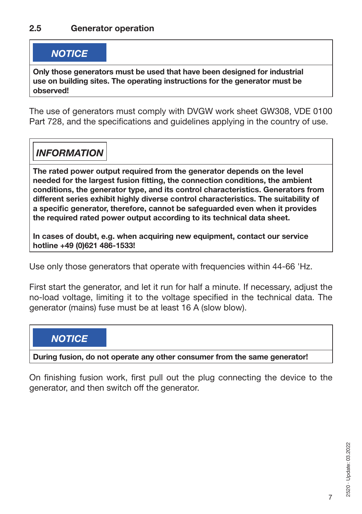### *NOTICE*

**Only those generators must be used that have been designed for industrial use on building sites. The operating instructions for the generator must be observed!**

The use of generators must comply with DVGW work sheet GW308, VDE 0100 Part 728, and the specifications and guidelines applying in the country of use.

### *INFORMATION*

**The rated power output required from the generator depends on the level needed for the largest fusion fitting, the connection conditions, the ambient conditions, the generator type, and its control characteristics. Generators from different series exhibit highly diverse control characteristics. The suitability of a specific generator, therefore, cannot be safeguarded even when it provides the required rated power output according to its technical data sheet.**

**In cases of doubt, e.g. when acquiring new equipment, contact our service hotline +49 (0)621 486-1533!**

Use only those generators that operate with frequencies within 44-66 'Hz.

First start the generator, and let it run for half a minute. If necessary, adjust the no-load voltage, limiting it to the voltage specified in the technical data. The generator (mains) fuse must be at least 16 A (slow blow).

### *NOTICE*

**During fusion, do not operate any other consumer from the same generator!**

On finishing fusion work, first pull out the plug connecting the device to the generator, and then switch off the generator.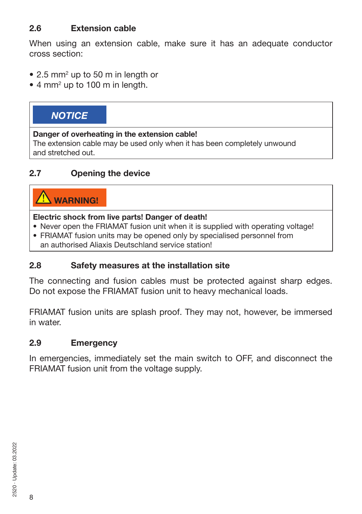### **2.6 Extension cable**

When using an extension cable, make sure it has an adequate conductor cross section:

- 2.5 mm<sup>2</sup> up to 50 m in length or
- 4 mm<sup>2</sup> up to 100 m in length.

### *NOTICE*

#### **Danger of overheating in the extension cable!**

The extension cable may be used only when it has been completely unwound and stretched out.

#### **2.7 Opening the device**

# **WARNING!**

#### **Electric shock from live parts! Danger of death!**

- Never open the FRIAMAT fusion unit when it is supplied with operating voltage!
- FRIAMAT fusion units may be opened only by specialised personnel from an authorised Aliaxis Deutschland service station!

#### **2.8 Safety measures at the installation site**

The connecting and fusion cables must be protected against sharp edges. Do not expose the FRIAMAT fusion unit to heavy mechanical loads.

FRIAMAT fusion units are splash proof. They may not, however, be immersed in water.

#### **2.9 Emergency**

In emergencies, immediately set the main switch to OFF, and disconnect the FRIAMAT fusion unit from the voltage supply.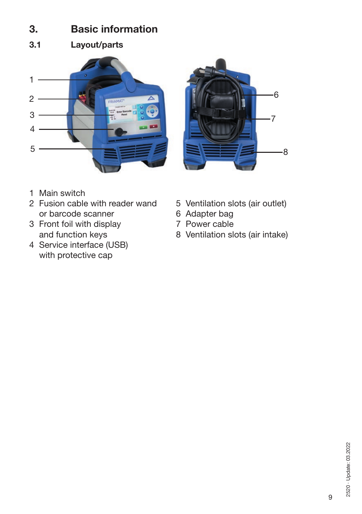### **3. Basic information**

**3.1 Layout/parts**





- 1 Main switch
- 2 Fusion cable with reader wand 5 Ventilation slots (air outlet)<br>or barcode scanner 6 Adapter bag or barcode scanner<br>
Front foil with display<br>
T Power cable
- 3 Front foil with display
- 4 Service interface (USB) with protective cap
- 
- 
- 
- and function keys 8 Ventilation slots (air intake)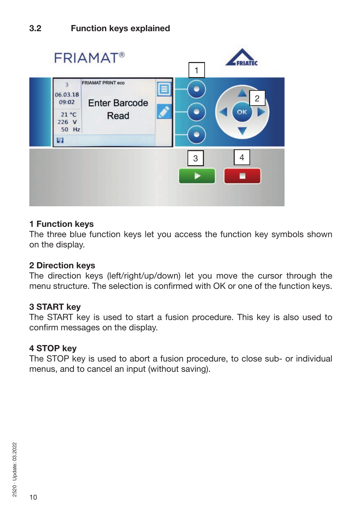

#### **1 Function keys**

The three blue function keys let you access the function key symbols shown on the display.

#### **2 Direction keys**

The direction keys (left/right/up/down) let you move the cursor through the menu structure. The selection is confirmed with OK or one of the function keys.

#### **3 START key**

The START key is used to start a fusion procedure. This key is also used to confirm messages on the display.

#### **4 STOP key**

The STOP key is used to abort a fusion procedure, to close sub- or individual menus, and to cancel an input (without saving).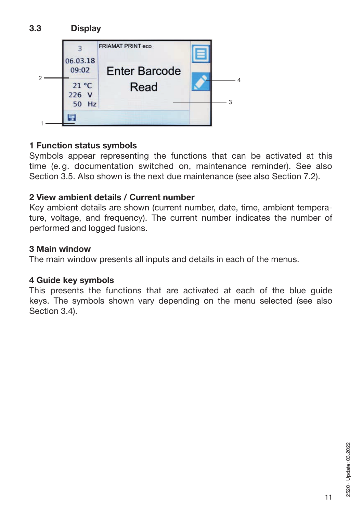

### **1 Function status symbols**

Symbols appear representing the functions that can be activated at this time (e. g. documentation switched on, maintenance reminder). See also Section 3.5. Also shown is the next due maintenance (see also Section 7.2).

#### **2 View ambient details / Current number**

Key ambient details are shown (current number, date, time, ambient temperature, voltage, and frequency). The current number indicates the number of performed and logged fusions.

#### **3 Main window**

The main window presents all inputs and details in each of the menus.

#### **4 Guide key symbols**

This presents the functions that are activated at each of the blue guide keys. The symbols shown vary depending on the menu selected (see also Section 3.4).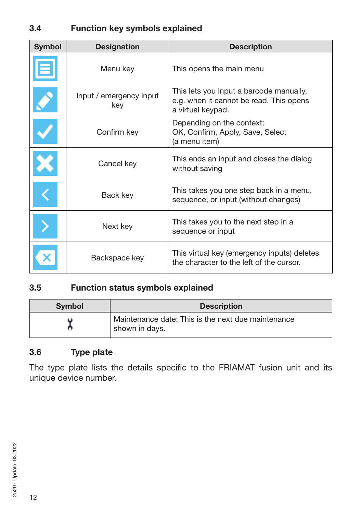### **3.4 Function key symbols explained**

| <b>Symbol</b> | <b>Designation</b>             | <b>Description</b>                                                                                      |
|---------------|--------------------------------|---------------------------------------------------------------------------------------------------------|
|               | Menu key                       | This opens the main menu                                                                                |
|               | Input / emergency input<br>key | This lets you input a barcode manually,<br>e.g. when it cannot be read. This opens<br>a virtual keypad. |
|               | Confirm key                    | Depending on the context:<br>OK, Confirm, Apply, Save, Select<br>(a menu item)                          |
|               | Cancel key                     | This ends an input and closes the dialog<br>without saving                                              |
|               | Back key                       | This takes you one step back in a menu,<br>sequence, or input (without changes)                         |
|               | Next key                       | This takes you to the next step in a<br>sequence or input                                               |
|               | Backspace key                  | This virtual key (emergency inputs) deletes<br>the character to the left of the cursor.                 |

### **3.5 Function status symbols explained**

| <b>Symbol</b> | <b>Description</b>                                                   |
|---------------|----------------------------------------------------------------------|
|               | Maintenance date: This is the next due maintenance<br>shown in days. |

### **3.6 Type plate**

The type plate lists the details specific to the FRIAMAT fusion unit and its unique device number.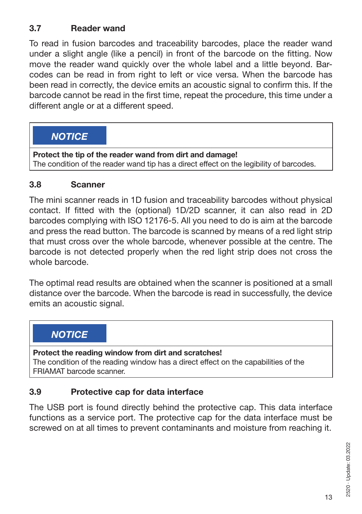### **3.7 Reader wand**

To read in fusion barcodes and traceability barcodes, place the reader wand under a slight angle (like a pencil) in front of the barcode on the fitting. Now move the reader wand quickly over the whole label and a little beyond. Barcodes can be read in from right to left or vice versa. When the barcode has been read in correctly, the device emits an acoustic signal to confirm this. If the barcode cannot be read in the first time, repeat the procedure, this time under a different angle or at a different speed.

### *NOTICE*

**Protect the tip of the reader wand from dirt and damage!** The condition of the reader wand tip has a direct effect on the legibility of barcodes.

### **3.8 Scanner**

The mini scanner reads in 1D fusion and traceability barcodes without physical contact. If fitted with the (optional) 1D/2D scanner, it can also read in 2D barcodes complying with ISO 12176-5. All you need to do is aim at the barcode and press the read button. The barcode is scanned by means of a red light strip that must cross over the whole barcode, whenever possible at the centre. The barcode is not detected properly when the red light strip does not cross the whole barcode.

The optimal read results are obtained when the scanner is positioned at a small distance over the barcode. When the barcode is read in successfully, the device emits an acoustic signal.

### *NOTICE*

**Protect the reading window from dirt and scratches!** The condition of the reading window has a direct effect on the capabilities of the FRIAMAT barcode scanner.

### **3.9 Protective cap for data interface**

The USB port is found directly behind the protective cap. This data interface functions as a service port. The protective cap for the data interface must be screwed on at all times to prevent contaminants and moisture from reaching it.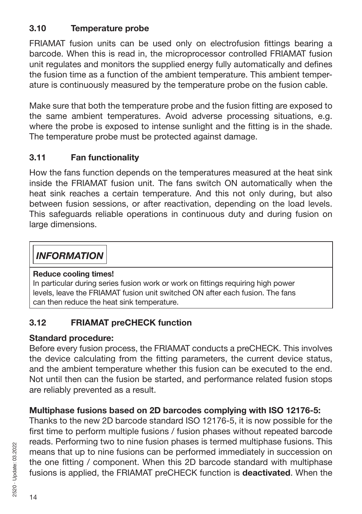### **3.10 Temperature probe**

FRIAMAT fusion units can be used only on electrofusion fittings bearing a barcode. When this is read in, the microprocessor controlled FRIAMAT fusion unit regulates and monitors the supplied energy fully automatically and defines the fusion time as a function of the ambient temperature. This ambient temperature is continuously measured by the temperature probe on the fusion cable.

Make sure that both the temperature probe and the fusion fitting are exposed to the same ambient temperatures. Avoid adverse processing situations, e.g. where the probe is exposed to intense sunlight and the fitting is in the shade. The temperature probe must be protected against damage.

### **3.11 Fan functionality**

How the fans function depends on the temperatures measured at the heat sink inside the FRIAMAT fusion unit. The fans switch ON automatically when the heat sink reaches a certain temperature. And this not only during, but also between fusion sessions, or after reactivation, depending on the load levels. This safeguards reliable operations in continuous duty and during fusion on large dimensions.

### *INFORMATION*

#### **Reduce cooling times!**

In particular during series fusion work or work on fittings requiring high power levels, leave the FRIAMAT fusion unit switched ON after each fusion. The fans can then reduce the heat sink temperature.

### **3.12 FRIAMAT preCHECK function**

#### **Standard procedure:**

Before every fusion process, the FRIAMAT conducts a preCHECK. This involves the device calculating from the fitting parameters, the current device status, and the ambient temperature whether this fusion can be executed to the end. Not until then can the fusion be started, and performance related fusion stops are reliably prevented as a result.

### **Multiphase fusions based on 2D barcodes complying with ISO 12176-5:**

Thanks to the new 2D barcode standard ISO 12176-5, it is now possible for the first time to perform multiple fusions / fusion phases without repeated barcode reads. Performing two to nine fusion phases is termed multiphase fusions. This means that up to nine fusions can be performed immediately in succession on the one fitting / component. When this 2D barcode standard with multiphase fusions is applied, the FRIAMAT preCHECK function is **deactivated**. When the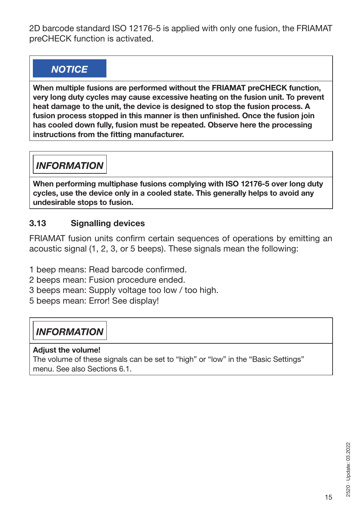2D barcode standard ISO 12176-5 is applied with only one fusion, the FRIAMAT preCHECK function is activated.

# *NOTICE*

**When multiple fusions are performed without the FRIAMAT preCHECK function, very long duty cycles may cause excessive heating on the fusion unit. To prevent heat damage to the unit, the device is designed to stop the fusion process. A fusion process stopped in this manner is then unfinished. Once the fusion join has cooled down fully, fusion must be repeated. Observe here the processing instructions from the fitting manufacturer.**

# *INFORMATION*

**When performing multiphase fusions complying with ISO 12176-5 over long duty cycles, use the device only in a cooled state. This generally helps to avoid any undesirable stops to fusion.**

### **3.13 Signalling devices**

FRIAMAT fusion units confirm certain sequences of operations by emitting an acoustic signal (1, 2, 3, or 5 beeps). These signals mean the following:

- 1 beep means: Read barcode confirmed.
- 2 beeps mean: Fusion procedure ended.
- 3 beeps mean: Supply voltage too low / too high.
- 5 beeps mean: Error! See display!

# *INFORMATION*

#### **Adjust the volume!**

The volume of these signals can be set to "high" or "low" in the "Basic Settings" menu. See also Sections 6.1.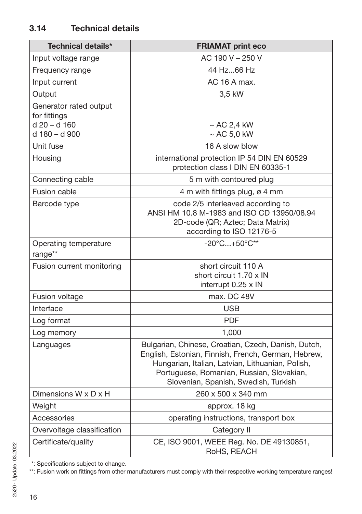| <b>Technical details*</b>                                               | <b>FRIAMAT print eco</b>                                                                                                                                                                                                                            |  |
|-------------------------------------------------------------------------|-----------------------------------------------------------------------------------------------------------------------------------------------------------------------------------------------------------------------------------------------------|--|
| Input voltage range                                                     | AC 190 V - 250 V                                                                                                                                                                                                                                    |  |
| Frequency range                                                         | 44 Hz66 Hz                                                                                                                                                                                                                                          |  |
| Input current                                                           | AC 16 A max.                                                                                                                                                                                                                                        |  |
| Output                                                                  | 3,5 kW                                                                                                                                                                                                                                              |  |
| Generator rated output<br>for fittings<br>d 20 - d 160<br>d 180 - d 900 | $~\sim$ AC 2,4 kW<br>$~\sim$ AC 5,0 kW                                                                                                                                                                                                              |  |
| Unit fuse                                                               | 16 A slow blow                                                                                                                                                                                                                                      |  |
| Housing                                                                 | international protection IP 54 DIN EN 60529<br>protection class I DIN EN 60335-1                                                                                                                                                                    |  |
| Connecting cable                                                        | 5 m with contoured plug                                                                                                                                                                                                                             |  |
| <b>Fusion cable</b>                                                     | 4 m with fittings plug, ø 4 mm                                                                                                                                                                                                                      |  |
| Barcode type                                                            | code 2/5 interleaved according to<br>ANSI HM 10.8 M-1983 and ISO CD 13950/08.94<br>2D-code (QR; Aztec; Data Matrix)<br>according to ISO 12176-5                                                                                                     |  |
| Operating temperature<br>range**                                        | $-20^{\circ}$ C $+50^{\circ}$ C**                                                                                                                                                                                                                   |  |
| Fusion current monitoring                                               | short circuit 110 A<br>short circuit 1.70 x IN<br>interrupt 0.25 x IN                                                                                                                                                                               |  |
| Fusion voltage                                                          | max. DC 48V                                                                                                                                                                                                                                         |  |
| Interface                                                               | <b>USB</b>                                                                                                                                                                                                                                          |  |
| Log format                                                              | <b>PDF</b>                                                                                                                                                                                                                                          |  |
| Log memory                                                              | 1,000                                                                                                                                                                                                                                               |  |
| Languages                                                               | Bulgarian, Chinese, Croatian, Czech, Danish, Dutch,<br>English, Estonian, Finnish, French, German, Hebrew,<br>Hungarian, Italian, Latvian, Lithuanian, Polish,<br>Portuguese, Romanian, Russian, Slovakian,<br>Slovenian, Spanish, Swedish, Turkish |  |
| Dimensions W x D x H                                                    | 260 x 500 x 340 mm                                                                                                                                                                                                                                  |  |
| Weight                                                                  | approx. 18 kg                                                                                                                                                                                                                                       |  |
| Accessories                                                             | operating instructions, transport box                                                                                                                                                                                                               |  |
| Overvoltage classification                                              | Category II                                                                                                                                                                                                                                         |  |
| Certificate/quality                                                     | CE, ISO 9001, WEEE Reg. No. DE 49130851,<br>RoHS, REACH                                                                                                                                                                                             |  |

\*: Specifications subject to change.

\*\*: Fusion work on fittings from other manufacturers must comply with their respective working temperature ranges!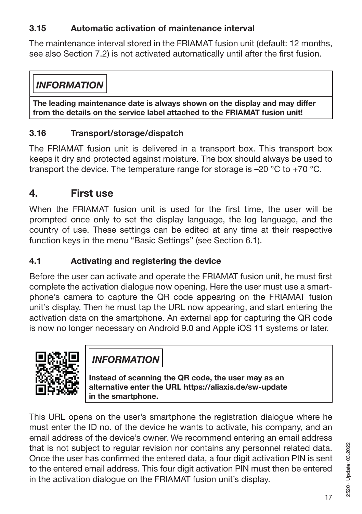### **3.15 Automatic activation of maintenance interval**

The maintenance interval stored in the FRIAMAT fusion unit (default: 12 months, see also Section 7.2) is not activated automatically until after the first fusion.

### *INFORMATION*

**The leading maintenance date is always shown on the display and may differ from the details on the service label attached to the FRIAMAT fusion unit!**

### **3.16 Transport/storage/dispatch**

The FRIAMAT fusion unit is delivered in a transport box. This transport box keeps it dry and protected against moisture. The box should always be used to transport the device. The temperature range for storage is  $-20$  °C to  $+70$  °C.

### **4. First use**

When the FRIAMAT fusion unit is used for the first time, the user will be prompted once only to set the display language, the log language, and the country of use. These settings can be edited at any time at their respective function keys in the menu "Basic Settings" (see Section 6.1).

### **4.1 Activating and registering the device**

Before the user can activate and operate the FRIAMAT fusion unit, he must first complete the activation dialogue now opening. Here the user must use a smartphone's camera to capture the QR code appearing on the FRIAMAT fusion unit's display. Then he must tap the URL now appearing, and start entering the activation data on the smartphone. An external app for capturing the QR code is now no longer necessary on Android 9.0 and Apple iOS 11 systems or later.



*INFORMATION*

**Instead of scanning the QR code, the user may as an alternative enter the URL https://aliaxis.de/sw-update in the smartphone.**

This URL opens on the user's smartphone the registration dialogue where he must enter the ID no. of the device he wants to activate, his company, and an email address of the device's owner. We recommend entering an email address that is not subject to regular revision nor contains any personnel related data. Once the user has confirmed the entered data, a four digit activation PIN is sent to the entered email address. This four digit activation PIN must then be entered in the activation dialogue on the FRIAMAT fusion unit's display.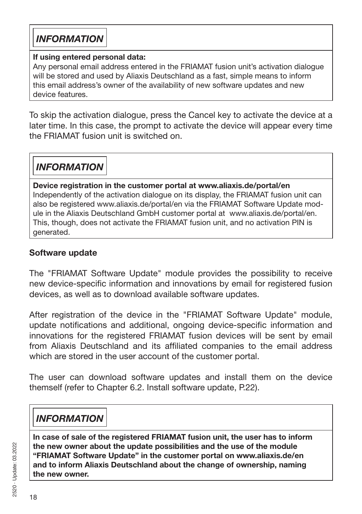### *INFORMATION*

#### **If using entered personal data:**

Any personal email address entered in the FRIAMAT fusion unit's activation dialogue will be stored and used by Aliaxis Deutschland as a fast, simple means to inform this email address's owner of the availability of new software updates and new device features.

To skip the activation dialogue, press the Cancel key to activate the device at a later time. In this case, the prompt to activate the device will appear every time the FRIAMAT fusion unit is switched on.

*INFORMATION*

**Device registration in the customer portal at www.aliaxis.de/portal/en** Independently of the activation dialogue on its display, the FRIAMAT fusion unit can also be registered www.aliaxis.de/portal/en via the FRIAMAT Software Update module in the Aliaxis Deutschland GmbH customer portal at www.aliaxis.de/portal/en. This, though, does not activate the FRIAMAT fusion unit, and no activation PIN is generated.

### **Software update**

The "FRIAMAT Software Update" module provides the possibility to receive new device-specific information and innovations by email for registered fusion devices, as well as to download available software updates.

After registration of the device in the "FRIAMAT Software Update" module, update notifications and additional, ongoing device-specific information and innovations for the registered FRIAMAT fusion devices will be sent by email from Aliaxis Deutschland and its affiliated companies to the email address which are stored in the user account of the customer portal.

The user can download software updates and install them on the device themself (refer to Chapter 6.2. Install software update, P.22).

# *INFORMATION*

**In case of sale of the registered FRIAMAT fusion unit, the user has to inform the new owner about the update possibilities and the use of the module "FRIAMAT Software Update" in the customer portal on www.aliaxis.de/en and to inform Aliaxis Deutschland about the change of ownership, naming the new owner.**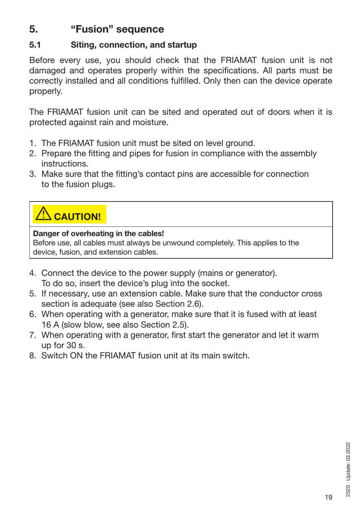### **5. "Fusion" sequence**

### **5.1 Siting, connection, and startup**

Before every use, you should check that the FRIAMAT fusion unit is not damaged and operates properly within the specifications. All parts must be correctly installed and all conditions fulfilled. Only then can the device operate properly.

The FRIAMAT fusion unit can be sited and operated out of doors when it is protected against rain and moisture.

- 1. The FRIAMAT fusion unit must be sited on level ground.
- 2. Prepare the fitting and pipes for fusion in compliance with the assembly instructions.
- 3. Make sure that the fitting's contact pins are accessible for connection to the fusion plugs.

# **CAUTION!**

#### **Danger of overheating in the cables!**

Before use, all cables must always be unwound completely. This applies to the device, fusion, and extension cables.

- 4. Connect the device to the power supply (mains or generator). To do so, insert the device's plug into the socket.
- 5. If necessary, use an extension cable. Make sure that the conductor cross section is adequate (see also Section 2.6).
- 6. When operating with a generator, make sure that it is fused with at least 16 A (slow blow, see also Section 2.5).
- 7. When operating with a generator, first start the generator and let it warm up for 30 s.
- 8. Switch ON the FRIAMAT fusion unit at its main switch.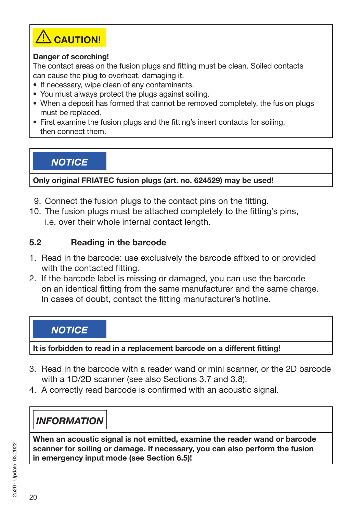

#### **Danger of scorching!**

The contact areas on the fusion plugs and fitting must be clean. Soiled contacts can cause the plug to overheat, damaging it.

- If necessary, wipe clean of any contaminants.
- You must always protect the plugs against soiling.
- When a deposit has formed that cannot be removed completely, the fusion plugs must be replaced.
- First examine the fusion plugs and the fitting's insert contacts for soiling, then connect them.

*NOTICE*

**Only original FRIATEC fusion plugs (art. no. 624529) may be used!**

- 9. Connect the fusion plugs to the contact pins on the fitting.
- 10. The fusion plugs must be attached completely to the fitting's pins, i.e. over their whole internal contact length.

#### **5.2 Reading in the barcode**

- 1. Read in the barcode: use exclusively the barcode affixed to or provided with the contacted fitting.
- 2. If the barcode label is missing or damaged, you can use the barcode on an identical fitting from the same manufacturer and the same charge. In cases of doubt, contact the fitting manufacturer's hotline.

### *NOTICE*

**It is forbidden to read in a replacement barcode on a different fitting!**

- 3. Read in the barcode with a reader wand or mini scanner, or the 2D barcode with a 1D/2D scanner (see also Sections 3.7 and 3.8).
- 4. A correctly read barcode is confirmed with an acoustic signal.

# *INFORMATION*

**When an acoustic signal is not emitted, examine the reader wand or barcode scanner for soiling or damage. If necessary, you can also perform the fusion in emergency input mode (see Section 6.5)!**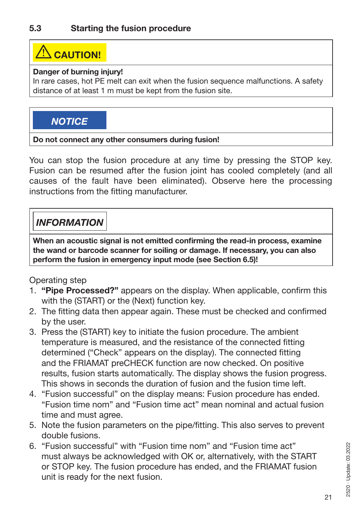# **XIN** CAUTION!

#### **Danger of burning injury!**

In rare cases, hot PE melt can exit when the fusion sequence malfunctions. A safety distance of at least 1 m must be kept from the fusion site.

### *NOTICE*

#### **Do not connect any other consumers during fusion!**

You can stop the fusion procedure at any time by pressing the STOP key. Fusion can be resumed after the fusion joint has cooled completely (and all causes of the fault have been eliminated). Observe here the processing instructions from the fitting manufacturer.

# *INFORMATION*

**When an acoustic signal is not emitted confirming the read-in process, examine the wand or barcode scanner for soiling or damage. If necessary, you can also perform the fusion in emergency input mode (see Section 6.5)!**

Operating step

- 1. **"Pipe Processed?"** appears on the display. When applicable, confirm this with the (START) or the (Next) function key.
- 2. The fitting data then appear again. These must be checked and confirmed by the user.
- 3. Press the (START) key to initiate the fusion procedure. The ambient temperature is measured, and the resistance of the connected fitting determined ("Check" appears on the display). The connected fitting and the FRIAMAT preCHECK function are now checked. On positive results, fusion starts automatically. The display shows the fusion progress. This shows in seconds the duration of fusion and the fusion time left.
- 4. "Fusion successful" on the display means: Fusion procedure has ended. "Fusion time nom" and "Fusion time act" mean nominal and actual fusion time and must agree.
- 5. Note the fusion parameters on the pipe/fitting. This also serves to prevent double fusions.
- 6. "Fusion successful" with "Fusion time nom" and "Fusion time act" must always be acknowledged with OK or, alternatively, with the START or STOP key. The fusion procedure has ended, and the FRIAMAT fusion unit is ready for the next fusion.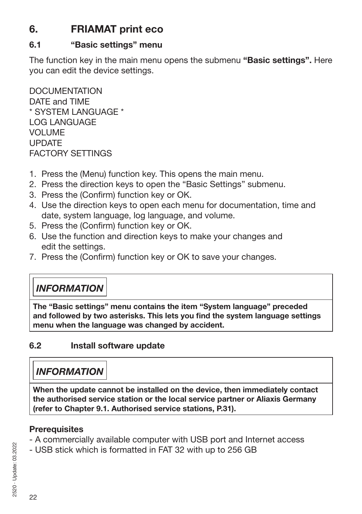# **6. FRIAMAT print eco**

#### **6.1 "Basic settings" menu**

The function key in the main menu opens the submenu **"Basic settings".** Here you can edit the device settings.

DOCUMENTATION DATE and TIME \* SYSTEM LANGUAGE \* LOG LANGUAGE VOLUME UPDATE FACTORY SETTINGS

- 1. Press the (Menu) function key. This opens the main menu.
- 2. Press the direction keys to open the "Basic Settings" submenu.
- 3. Press the (Confirm) function key or OK.
- 4. Use the direction keys to open each menu for documentation, time and date, system language, log language, and volume.
- 5. Press the (Confirm) function key or OK.
- 6. Use the function and direction keys to make your changes and edit the settings.
- 7. Press the (Confirm) function key or OK to save your changes.

# *INFORMATION*

**The "Basic settings" menu contains the item "System language" preceded and followed by two asterisks. This lets you find the system language settings menu when the language was changed by accident.**

### **6.2 Install software update**

### *INFORMATION*

**When the update cannot be installed on the device, then immediately contact the authorised service station or the local service partner or Aliaxis Germany (refer to Chapter 9.1. Authorised service stations, P.31).**

#### **Prerequisites**

- A commercially available computer with USB port and Internet access
- USB stick which is formatted in FAT 32 with up to 256 GB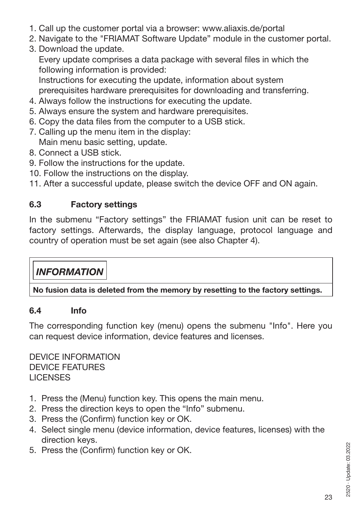- 1. Call up the customer portal via a browser: www.aliaxis.de/portal
- 2. Navigate to the "FRIAMAT Software Update" module in the customer portal.
- 3. Download the update.

Every update comprises a data package with several files in which the following information is provided:

Instructions for executing the update, information about system prerequisites hardware prerequisites for downloading and transferring.

- 4. Always follow the instructions for executing the update.
- 5. Always ensure the system and hardware prerequisites.
- 6. Copy the data files from the computer to a USB stick.
- 7. Calling up the menu item in the display: Main menu basic setting, update.
- 8. Connect a USB stick.
- 9. Follow the instructions for the update.
- 10. Follow the instructions on the display.

11. After a successful update, please switch the device OFF and ON again.

### **6.3 Factory settings**

In the submenu "Factory settings" the FRIAMAT fusion unit can be reset to factory settings. Afterwards, the display language, protocol language and country of operation must be set again (see also Chapter 4).

# *INFORMATION*

**No fusion data is deleted from the memory by resetting to the factory settings.**

### **6.4 Info**

The corresponding function key (menu) opens the submenu "Info". Here you can request device information, device features and licenses.

DEVICE INFORMATION DEVICE FEATURES **LICENSES** 

- 1. Press the (Menu) function key. This opens the main menu.
- 2. Press the direction keys to open the "Info" submenu.
- 3. Press the (Confirm) function key or OK.
- 4. Select single menu (device information, device features, licenses) with the direction keys.
- 5. Press the (Confirm) function key or OK.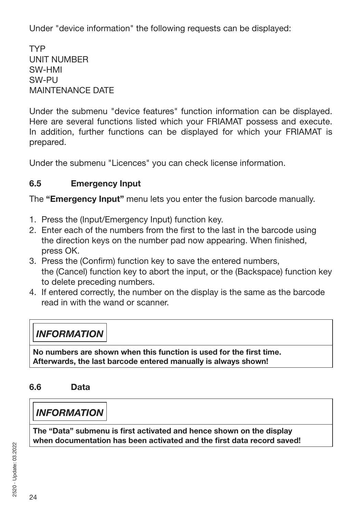Under "device information" the following requests can be displayed:

TYP UNIT NUMBER SW-HMI SW-PU MAINTENANCE DATE

Under the submenu "device features" function information can be displayed. Here are several functions listed which your FRIAMAT possess and execute. In addition, further functions can be displayed for which your FRIAMAT is prepared.

Under the submenu "Licences" you can check license information.

### **6.5 Emergency Input**

The **"Emergency Input"** menu lets you enter the fusion barcode manually.

- 1. Press the (Input/Emergency Input) function key.
- 2. Enter each of the numbers from the first to the last in the barcode using the direction keys on the number pad now appearing. When finished, press OK.
- 3. Press the (Confirm) function key to save the entered numbers, the (Cancel) function key to abort the input, or the (Backspace) function key to delete preceding numbers.
- 4. If entered correctly, the number on the display is the same as the barcode read in with the wand or scanner.

# *INFORMATION*

**No numbers are shown when this function is used for the first time. Afterwards, the last barcode entered manually is always shown!**

### **6.6 Data**

### *INFORMATION*

**The "Data" submenu is first activated and hence shown on the display when documentation has been activated and the first data record saved!**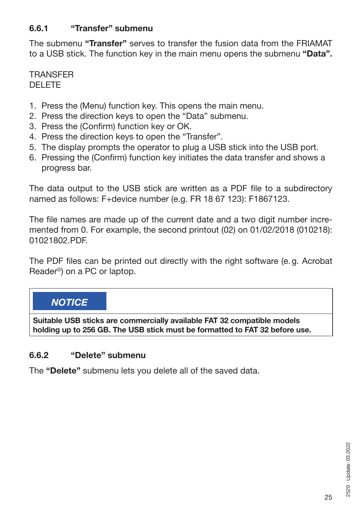#### **6.6.1 "Transfer" submenu**

The submenu **"Transfer"** serves to transfer the fusion data from the FRIAMAT to a USB stick. The function key in the main menu opens the submenu **"Data".** 

**TRANSFER** DELETE

- 1. Press the (Menu) function key. This opens the main menu.
- 2. Press the direction keys to open the "Data" submenu.
- 3. Press the (Confirm) function key or OK.
- 4. Press the direction keys to open the "Transfer".
- 5. The display prompts the operator to plug a USB stick into the USB port.
- 6. Pressing the (Confirm) function key initiates the data transfer and shows a progress bar.

The data output to the USB stick are written as a PDF file to a subdirectory named as follows: F+device number (e.g. FR 18 67 123): F1867123.

The file names are made up of the current date and a two digit number incremented from 0. For example, the second printout (02) on 01/02/2018 (010218): 01021802.PDF.

The PDF files can be printed out directly with the right software (e.g. Acrobat Reader©) on a PC or laptop.

### *NOTICE*

**Suitable USB sticks are commercially available FAT 32 compatible models holding up to 256 GB. The USB stick must be formatted to FAT 32 before use.** 

#### **6.6.2 "Delete" submenu**

The **"Delete"** submenu lets you delete all of the saved data.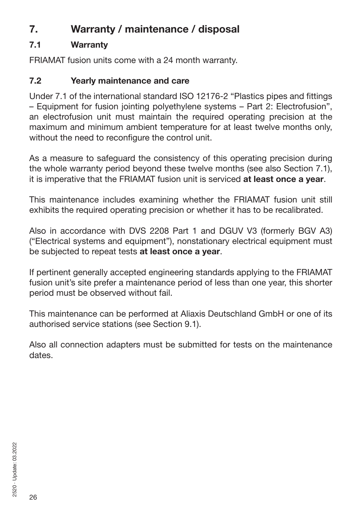# **7. Warranty / maintenance / disposal**

### **7.1 Warranty**

FRIAMAT fusion units come with a 24 month warranty.

### **7.2 Yearly maintenance and care**

Under 7.1 of the international standard ISO 12176-2 "Plastics pipes and fittings – Equipment for fusion jointing polyethylene systems – Part 2: Electrofusion", an electrofusion unit must maintain the required operating precision at the maximum and minimum ambient temperature for at least twelve months only, without the need to reconfigure the control unit.

As a measure to safeguard the consistency of this operating precision during the whole warranty period beyond these twelve months (see also Section 7.1), it is imperative that the FRIAMAT fusion unit is serviced **at least once a year**.

This maintenance includes examining whether the FRIAMAT fusion unit still exhibits the required operating precision or whether it has to be recalibrated.

Also in accordance with DVS 2208 Part 1 and DGUV V3 (formerly BGV A3) ("Electrical systems and equipment"), nonstationary electrical equipment must be subjected to repeat tests **at least once a year**.

If pertinent generally accepted engineering standards applying to the FRIAMAT fusion unit's site prefer a maintenance period of less than one year, this shorter period must be observed without fail.

This maintenance can be performed at Aliaxis Deutschland GmbH or one of its authorised service stations (see Section 9.1).

Also all connection adapters must be submitted for tests on the maintenance dates.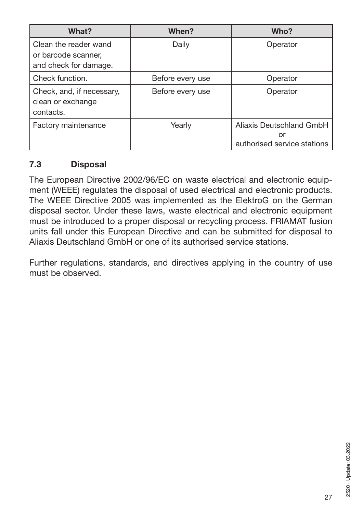| What?                                                                 | When?            | Who?                                                          |
|-----------------------------------------------------------------------|------------------|---------------------------------------------------------------|
| Clean the reader wand<br>or barcode scanner.<br>and check for damage. | Daily            | Operator                                                      |
| Check function.                                                       | Before every use | Operator                                                      |
| Check, and, if necessary,<br>clean or exchange<br>contacts.           | Before every use | Operator                                                      |
| Factory maintenance                                                   | Yearly           | Aliaxis Deutschland GmbH<br>or<br>authorised service stations |

#### **7.3 Disposal**

The European Directive 2002/96/EC on waste electrical and electronic equipment (WEEE) regulates the disposal of used electrical and electronic products. The WEEE Directive 2005 was implemented as the ElektroG on the German disposal sector. Under these laws, waste electrical and electronic equipment must be introduced to a proper disposal or recycling process. FRIAMAT fusion units fall under this European Directive and can be submitted for disposal to Aliaxis Deutschland GmbH or one of its authorised service stations.

Further regulations, standards, and directives applying in the country of use must be observed.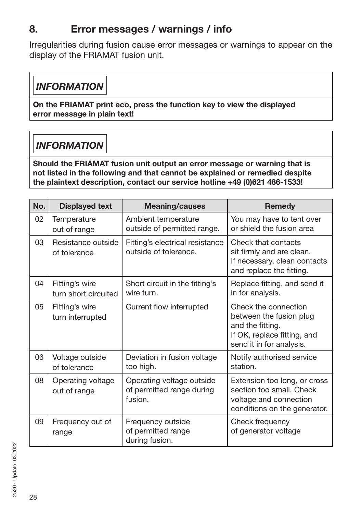# **8. Error messages / warnings / info**

Irregularities during fusion cause error messages or warnings to appear on the display of the FRIAMAT fusion unit.

### *INFORMATION*

**On the FRIAMAT print eco, press the function key to view the displayed error message in plain text!**

# *INFORMATION*

**Should the FRIAMAT fusion unit output an error message or warning that is not listed in the following and that cannot be explained or remedied despite the plaintext description, contact our service hotline +49 (0)621 486-1533!**

| No. | <b>Displayed text</b>                  | <b>Meaning/causes</b>                                             | <b>Remedy</b>                                                                                                                  |
|-----|----------------------------------------|-------------------------------------------------------------------|--------------------------------------------------------------------------------------------------------------------------------|
| 02  | Temperature<br>out of range            | Ambient temperature<br>outside of permitted range.                | You may have to tent over<br>or shield the fusion area                                                                         |
| 03  | Resistance outside<br>of tolerance     | Fitting's electrical resistance<br>outside of tolerance.          | Check that contacts<br>sit firmly and are clean.<br>If necessary, clean contacts<br>and replace the fitting.                   |
| 04  | Fitting's wire<br>turn short circuited | Short circuit in the fitting's<br>wire turn.                      | Replace fitting, and send it<br>in for analysis.                                                                               |
| 05  | Fitting's wire<br>turn interrupted     | Current flow interrupted                                          | Check the connection<br>between the fusion plug<br>and the fitting.<br>If OK, replace fitting, and<br>send it in for analysis. |
| 06  | Voltage outside<br>of tolerance        | Deviation in fusion voltage<br>too high.                          | Notify authorised service<br>station.                                                                                          |
| 08  | Operating voltage<br>out of range      | Operating voltage outside<br>of permitted range during<br>fusion. | Extension too long, or cross<br>section too small. Check<br>voltage and connection<br>conditions on the generator.             |
| 09  | Frequency out of<br>range              | Frequency outside<br>of permitted range<br>during fusion.         | Check frequency<br>of generator voltage                                                                                        |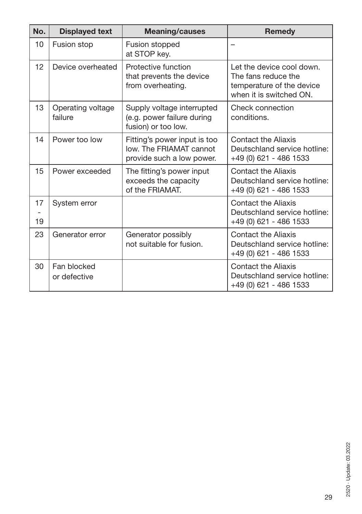| No.      | <b>Displayed text</b>        | <b>Meaning/causes</b>                                                                | <b>Remedy</b>                                                                                            |
|----------|------------------------------|--------------------------------------------------------------------------------------|----------------------------------------------------------------------------------------------------------|
| 10       | Fusion stop                  | Fusion stopped<br>at STOP key.                                                       |                                                                                                          |
| 12       | Device overheated            | Protective function<br>that prevents the device<br>from overheating.                 | Let the device cool down.<br>The fans reduce the<br>temperature of the device<br>when it is switched ON. |
| 13       | Operating voltage<br>failure | Supply voltage interrupted<br>(e.g. power failure during<br>fusion) or too low.      | Check connection<br>conditions.                                                                          |
| 14       | Power too low                | Fitting's power input is too<br>low. The FRIAMAT cannot<br>provide such a low power. | Contact the Aliaxis<br>Deutschland service hotline:<br>+49 (0) 621 - 486 1533                            |
| 15       | Power exceeded               | The fitting's power input<br>exceeds the capacity<br>of the FRIAMAT.                 | Contact the Aliaxis<br>Deutschland service hotline:<br>+49 (0) 621 - 486 1533                            |
| 17<br>19 | System error                 |                                                                                      | Contact the Aliaxis<br>Deutschland service hotline:<br>+49 (0) 621 - 486 1533                            |
| 23       | Generator error              | Generator possibly<br>not suitable for fusion.                                       | <b>Contact the Aliaxis</b><br>Deutschland service hotline:<br>+49 (0) 621 - 486 1533                     |
| 30       | Fan blocked<br>or defective  |                                                                                      | Contact the Aliaxis<br>Deutschland service hotline:<br>+49 (0) 621 - 486 1533                            |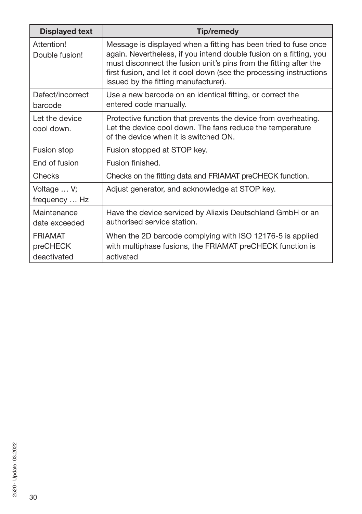| <b>Displayed text</b>                     | Tip/remedy                                                                                                                                                                                                                                                                                                                |
|-------------------------------------------|---------------------------------------------------------------------------------------------------------------------------------------------------------------------------------------------------------------------------------------------------------------------------------------------------------------------------|
| Attention!<br>Double fusion!              | Message is displayed when a fitting has been tried to fuse once<br>again. Nevertheless, if you intend double fusion on a fitting, you<br>must disconnect the fusion unit's pins from the fitting after the<br>first fusion, and let it cool down (see the processing instructions<br>issued by the fitting manufacturer). |
| Defect/incorrect<br>barcode               | Use a new barcode on an identical fitting, or correct the<br>entered code manually.                                                                                                                                                                                                                                       |
| Let the device<br>cool down.              | Protective function that prevents the device from overheating.<br>Let the device cool down. The fans reduce the temperature<br>of the device when it is switched ON.                                                                                                                                                      |
| Fusion stop                               | Fusion stopped at STOP key.                                                                                                                                                                                                                                                                                               |
| End of fusion                             | Fusion finished.                                                                                                                                                                                                                                                                                                          |
| Checks                                    | Checks on the fitting data and FRIAMAT preCHECK function.                                                                                                                                                                                                                                                                 |
| Voltage  V;<br>frequency  Hz              | Adjust generator, and acknowledge at STOP key.                                                                                                                                                                                                                                                                            |
| Maintenance<br>date exceeded              | Have the device serviced by Aliaxis Deutschland GmbH or an<br>authorised service station.                                                                                                                                                                                                                                 |
| <b>FRIAMAT</b><br>preCHECK<br>deactivated | When the 2D barcode complying with ISO 12176-5 is applied<br>with multiphase fusions, the FRIAMAT preCHECK function is<br>activated                                                                                                                                                                                       |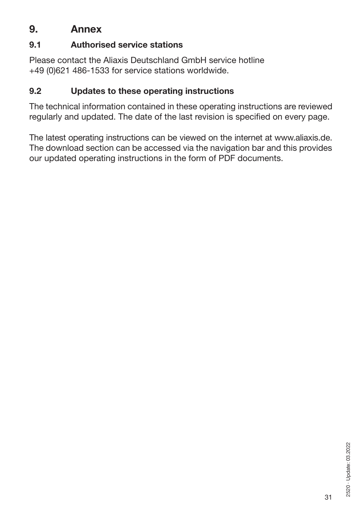### **9. Annex**

### **9.1 Authorised service stations**

Please contact the Aliaxis Deutschland GmbH service hotline +49 (0)621 486-1533 for service stations worldwide.

### **9.2 Updates to these operating instructions**

The technical information contained in these operating instructions are reviewed regularly and updated. The date of the last revision is specified on every page.

The latest operating instructions can be viewed on the internet at www.aliaxis.de. The download section can be accessed via the navigation bar and this provides our updated operating instructions in the form of PDF documents.